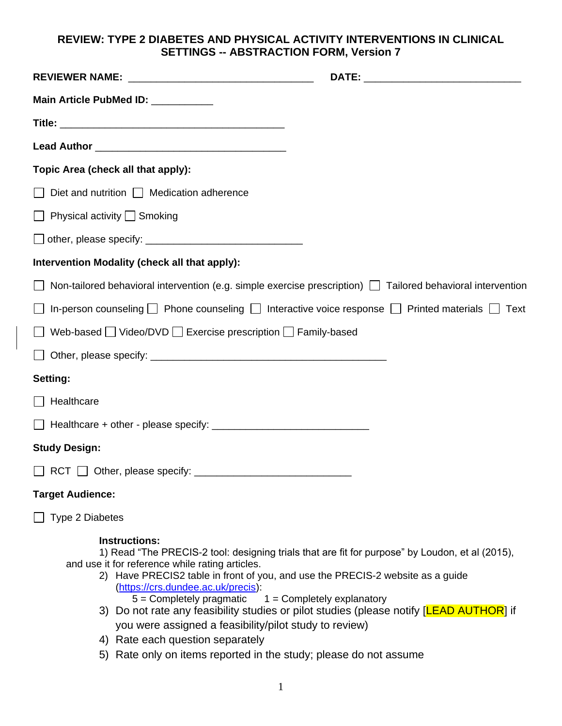## **REVIEW: TYPE 2 DIABETES AND PHYSICAL ACTIVITY INTERVENTIONS IN CLINICAL SETTINGS -- ABSTRACTION FORM, Version 7**

| Main Article PubMed ID: __________                                                                                                                                                                                                                                                                                                                                                                                            |                                                                                                                                                                                            |
|-------------------------------------------------------------------------------------------------------------------------------------------------------------------------------------------------------------------------------------------------------------------------------------------------------------------------------------------------------------------------------------------------------------------------------|--------------------------------------------------------------------------------------------------------------------------------------------------------------------------------------------|
|                                                                                                                                                                                                                                                                                                                                                                                                                               |                                                                                                                                                                                            |
|                                                                                                                                                                                                                                                                                                                                                                                                                               |                                                                                                                                                                                            |
| Topic Area (check all that apply):                                                                                                                                                                                                                                                                                                                                                                                            |                                                                                                                                                                                            |
| Diet and nutrition $\Box$ Medication adherence                                                                                                                                                                                                                                                                                                                                                                                |                                                                                                                                                                                            |
| $\Box$ Physical activity $\Box$ Smoking                                                                                                                                                                                                                                                                                                                                                                                       |                                                                                                                                                                                            |
|                                                                                                                                                                                                                                                                                                                                                                                                                               |                                                                                                                                                                                            |
| Intervention Modality (check all that apply):                                                                                                                                                                                                                                                                                                                                                                                 |                                                                                                                                                                                            |
| Non-tailored behavioral intervention (e.g. simple exercise prescription) $\Box$ Tailored behavioral intervention                                                                                                                                                                                                                                                                                                              |                                                                                                                                                                                            |
| In-person counseling $\Box$ Phone counseling $\Box$ Interactive voice response $\Box$ Printed materials $\Box$ Text                                                                                                                                                                                                                                                                                                           |                                                                                                                                                                                            |
| Web-based Video/DVD Exercise prescription Family-based                                                                                                                                                                                                                                                                                                                                                                        |                                                                                                                                                                                            |
|                                                                                                                                                                                                                                                                                                                                                                                                                               |                                                                                                                                                                                            |
| Setting:                                                                                                                                                                                                                                                                                                                                                                                                                      |                                                                                                                                                                                            |
| Healthcare                                                                                                                                                                                                                                                                                                                                                                                                                    |                                                                                                                                                                                            |
|                                                                                                                                                                                                                                                                                                                                                                                                                               |                                                                                                                                                                                            |
| <b>Study Design:</b>                                                                                                                                                                                                                                                                                                                                                                                                          |                                                                                                                                                                                            |
|                                                                                                                                                                                                                                                                                                                                                                                                                               |                                                                                                                                                                                            |
| <b>Target Audience:</b>                                                                                                                                                                                                                                                                                                                                                                                                       |                                                                                                                                                                                            |
| <b>Type 2 Diabetes</b>                                                                                                                                                                                                                                                                                                                                                                                                        |                                                                                                                                                                                            |
| <b>Instructions:</b><br>and use it for reference while rating articles.<br>2) Have PRECIS2 table in front of you, and use the PRECIS-2 website as a guide<br>(https://crs.dundee.ac.uk/precis):<br>$5 =$ Completely pragmatic $1 =$ Completely explanatory<br>you were assigned a feasibility/pilot study to review)<br>4) Rate each question separately<br>5) Rate only on items reported in the study; please do not assume | 1) Read "The PRECIS-2 tool: designing trials that are fit for purpose" by Loudon, et al (2015),<br>3) Do not rate any feasibility studies or pilot studies (please notify [LEAD AUTHOR] if |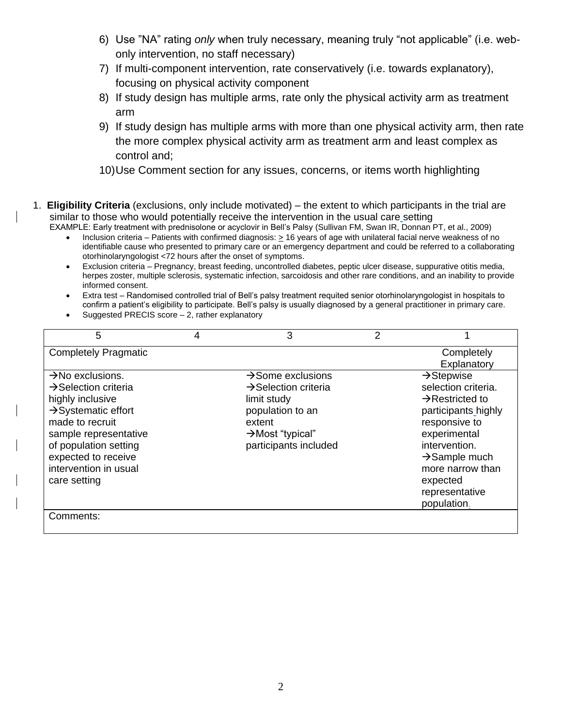- 6) Use "NA" rating *only* when truly necessary, meaning truly "not applicable" (i.e. webonly intervention, no staff necessary)
- 7) If multi-component intervention, rate conservatively (i.e. towards explanatory), focusing on physical activity component
- 8) If study design has multiple arms, rate only the physical activity arm as treatment arm
- 9) If study design has multiple arms with more than one physical activity arm, then rate the more complex physical activity arm as treatment arm and least complex as control and;
- 10)Use Comment section for any issues, concerns, or items worth highlighting
- 1. **Eligibility Criteria** (exclusions, only include motivated) the extent to which participants in the trial are similar to those who would potentially receive the intervention in the usual care setting EXAMPLE: Early treatment with prednisolone or acyclovir in Bell's Palsy (Sullivan FM, Swan IR, Donnan PT, et al., 2009)
	- Inclusion criteria Patients with confirmed diagnosis: > 16 years of age with unilateral facial nerve weakness of no identifiable cause who presented to primary care or an emergency department and could be referred to a collaborating otorhinolaryngologist <72 hours after the onset of symptoms.
	- Exclusion criteria Pregnancy, breast feeding, uncontrolled diabetes, peptic ulcer disease, suppurative otitis media, herpes zoster, multiple sclerosis, systematic infection, sarcoidosis and other rare conditions, and an inability to provide informed consent.
	- Extra test Randomised controlled trial of Bell's palsy treatment requited senior otorhinolaryngologist in hospitals to confirm a patient's eligibility to participate. Bell's palsy is usually diagnosed by a general practitioner in primary care.
	- Suggested PRECIS score 2, rather explanatory

| 5                                | 4 | 3                                | $\overline{2}$ |                             |
|----------------------------------|---|----------------------------------|----------------|-----------------------------|
| <b>Completely Pragmatic</b>      |   |                                  |                | Completely                  |
|                                  |   |                                  |                | Explanatory                 |
| $\rightarrow$ No exclusions.     |   | $\rightarrow$ Some exclusions    |                | $\rightarrow$ Stepwise      |
| $\rightarrow$ Selection criteria |   | $\rightarrow$ Selection criteria |                | selection criteria.         |
| highly inclusive                 |   | limit study                      |                | $\rightarrow$ Restricted to |
| $\rightarrow$ Systematic effort  |   | population to an                 |                | participants highly         |
| made to recruit                  |   | extent                           |                | responsive to               |
| sample representative            |   | $\rightarrow$ Most "typical"     |                | experimental                |
| of population setting            |   | participants included            |                | intervention.               |
| expected to receive              |   |                                  |                | $\rightarrow$ Sample much   |
| intervention in usual            |   |                                  |                | more narrow than            |
| care setting                     |   |                                  |                | expected                    |
|                                  |   |                                  |                | representative              |
|                                  |   |                                  |                | population.                 |
| Comments:                        |   |                                  |                |                             |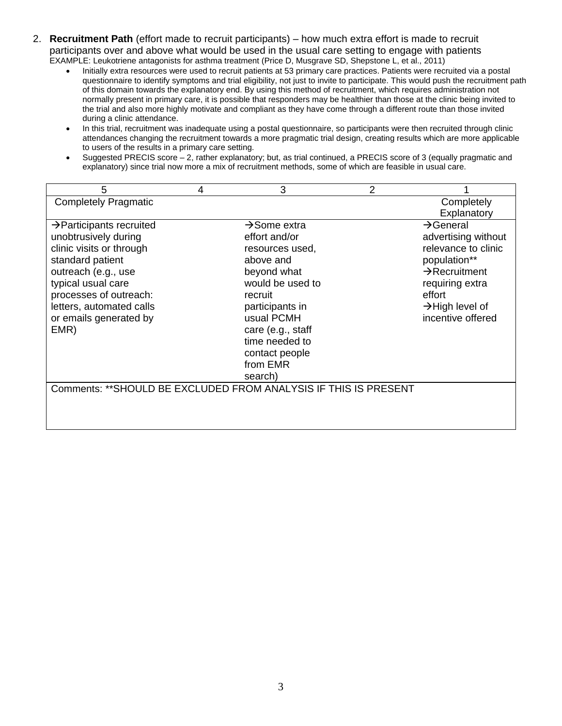- 2. **Recruitment Path** (effort made to recruit participants) how much extra effort is made to recruit participants over and above what would be used in the usual care setting to engage with patients EXAMPLE: Leukotriene antagonists for asthma treatment (Price D, Musgrave SD, Shepstone L, et al., 2011)
	- Initially extra resources were used to recruit patients at 53 primary care practices. Patients were recruited via a postal questionnaire to identify symptoms and trial eligibility, not just to invite to participate. This would push the recruitment path of this domain towards the explanatory end. By using this method of recruitment, which requires administration not normally present in primary care, it is possible that responders may be healthier than those at the clinic being invited to the trial and also more highly motivate and compliant as they have come through a different route than those invited during a clinic attendance.
	- In this trial, recruitment was inadequate using a postal questionnaire, so participants were then recruited through clinic attendances changing the recruitment towards a more pragmatic trial design, creating results which are more applicable to users of the results in a primary care setting.
	- Suggested PRECIS score 2, rather explanatory; but, as trial continued, a PRECIS score of 3 (equally pragmatic and explanatory) since trial now more a mix of recruitment methods, some of which are feasible in usual care.

| 5                                                                | 4 | 3                        | 2 |                             |
|------------------------------------------------------------------|---|--------------------------|---|-----------------------------|
| <b>Completely Pragmatic</b>                                      |   |                          |   | Completely                  |
|                                                                  |   |                          |   | Explanatory                 |
| $\rightarrow$ Participants recruited                             |   | $\rightarrow$ Some extra |   | $\rightarrow$ General       |
| unobtrusively during                                             |   | effort and/or            |   | advertising without         |
| clinic visits or through                                         |   | resources used,          |   | relevance to clinic         |
| standard patient                                                 |   | above and                |   | population**                |
| outreach (e.g., use                                              |   | beyond what              |   | $\rightarrow$ Recruitment   |
| typical usual care                                               |   | would be used to         |   | requiring extra             |
| processes of outreach:                                           |   | recruit                  |   | effort                      |
| letters, automated calls                                         |   | participants in          |   | $\rightarrow$ High level of |
| or emails generated by                                           |   | usual PCMH               |   | incentive offered           |
| EMR)                                                             |   | care (e.g., staff        |   |                             |
|                                                                  |   | time needed to           |   |                             |
|                                                                  |   | contact people           |   |                             |
|                                                                  |   | from EMR                 |   |                             |
|                                                                  |   | search)                  |   |                             |
| Comments: ** SHOULD BE EXCLUDED FROM ANALYSIS IF THIS IS PRESENT |   |                          |   |                             |
|                                                                  |   |                          |   |                             |
|                                                                  |   |                          |   |                             |
|                                                                  |   |                          |   |                             |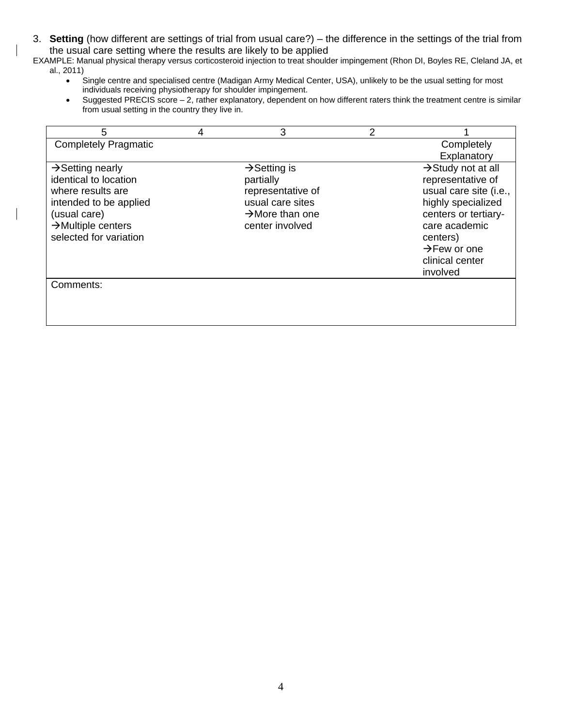3. **Setting** (how different are settings of trial from usual care?) – the difference in the settings of the trial from the usual care setting where the results are likely to be applied

EXAMPLE: Manual physical therapy versus corticosteroid injection to treat shoulder impingement (Rhon DI, Boyles RE, Cleland JA, et al., 2011)

- Single centre and specialised centre (Madigan Army Medical Center, USA), unlikely to be the usual setting for most individuals receiving physiotherapy for shoulder impingement.
- Suggested PRECIS score 2, rather explanatory, dependent on how different raters think the treatment centre is similar from usual setting in the country they live in.

| 5                              | 4 | 3                           | 2 |                                |
|--------------------------------|---|-----------------------------|---|--------------------------------|
| <b>Completely Pragmatic</b>    |   |                             |   | Completely                     |
|                                |   |                             |   | Explanatory                    |
| $\rightarrow$ Setting nearly   |   | $\rightarrow$ Setting is    |   | $\rightarrow$ Study not at all |
| identical to location          |   | partially                   |   | representative of              |
| where results are              |   | representative of           |   | usual care site (i.e.,         |
| intended to be applied         |   | usual care sites            |   | highly specialized             |
| (usual care)                   |   | $\rightarrow$ More than one |   | centers or tertiary-           |
| $\rightarrow$ Multiple centers |   | center involved             |   | care academic                  |
| selected for variation         |   |                             |   | centers)                       |
|                                |   |                             |   | $\rightarrow$ Few or one       |
|                                |   |                             |   | clinical center                |
|                                |   |                             |   | involved                       |
| Comments:                      |   |                             |   |                                |
|                                |   |                             |   |                                |
|                                |   |                             |   |                                |
|                                |   |                             |   |                                |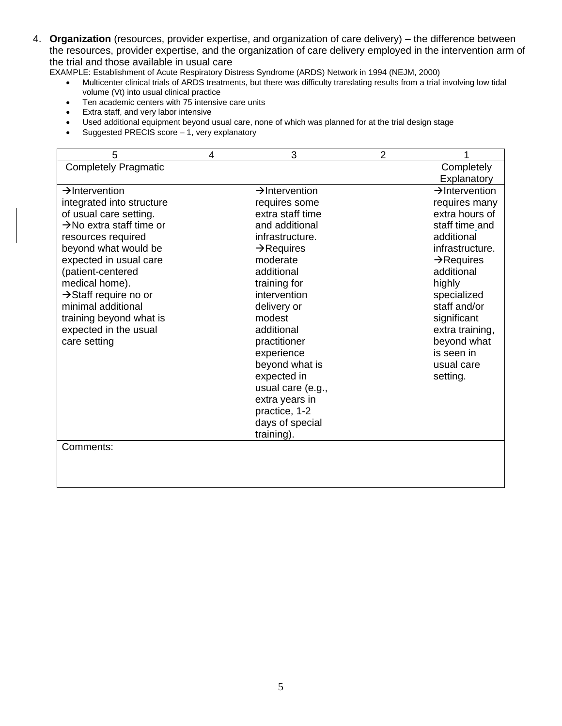4. **Organization** (resources, provider expertise, and organization of care delivery) – the difference between the resources, provider expertise, and the organization of care delivery employed in the intervention arm of the trial and those available in usual care

EXAMPLE: Establishment of Acute Respiratory Distress Syndrome (ARDS) Network in 1994 (NEJM, 2000)

- Multicenter clinical trials of ARDS treatments, but there was difficulty translating results from a trial involving low tidal volume (Vt) into usual clinical practice
- Ten academic centers with 75 intensive care units
- Extra staff, and very labor intensive
- Used additional equipment beyond usual care, none of which was planned for at the trial design stage
- Suggested PRECIS score 1, very explanatory

| 5                                    | 4 | 3                          | $\overline{2}$ |                            |
|--------------------------------------|---|----------------------------|----------------|----------------------------|
| <b>Completely Pragmatic</b>          |   |                            |                | Completely                 |
|                                      |   |                            |                | Explanatory                |
| $\rightarrow$ Intervention           |   | $\rightarrow$ Intervention |                | $\rightarrow$ Intervention |
| integrated into structure            |   | requires some              |                | requires many              |
| of usual care setting.               |   | extra staff time           |                | extra hours of             |
| $\rightarrow$ No extra staff time or |   | and additional             |                | staff time and             |
| resources required                   |   | infrastructure.            |                | additional                 |
| beyond what would be                 |   | $\rightarrow$ Requires     |                | infrastructure.            |
| expected in usual care               |   | moderate                   |                | $\rightarrow$ Requires     |
| (patient-centered                    |   | additional                 |                | additional                 |
| medical home).                       |   | training for               |                | highly                     |
| $\rightarrow$ Staff require no or    |   | intervention               |                | specialized                |
| minimal additional                   |   | delivery or                |                | staff and/or               |
| training beyond what is              |   | modest                     |                | significant                |
| expected in the usual                |   | additional                 |                | extra training,            |
| care setting                         |   | practitioner               |                | beyond what                |
|                                      |   | experience                 |                | is seen in                 |
|                                      |   | beyond what is             |                | usual care                 |
|                                      |   | expected in                |                | setting.                   |
|                                      |   | usual care (e.g.,          |                |                            |
|                                      |   | extra years in             |                |                            |
|                                      |   | practice, 1-2              |                |                            |
|                                      |   | days of special            |                |                            |
|                                      |   | training).                 |                |                            |
| Comments:                            |   |                            |                |                            |
|                                      |   |                            |                |                            |
|                                      |   |                            |                |                            |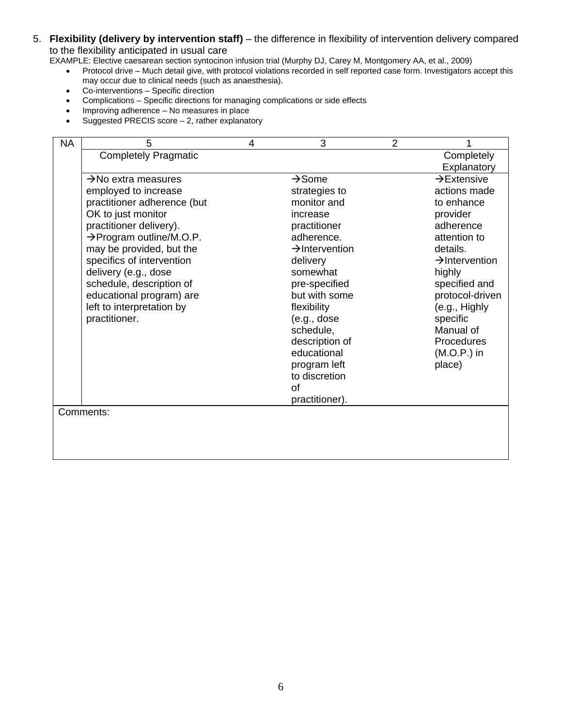#### 5. **Flexibility (delivery by intervention staff)** – the difference in flexibility of intervention delivery compared to the flexibility anticipated in usual care

EXAMPLE: Elective caesarean section syntocinon infusion trial (Murphy DJ, Carey M, Montgomery AA, et al., 2009)

- Protocol drive Much detail give, with protocol violations recorded in self reported case form. Investigators accept this may occur due to clinical needs (such as anaesthesia).
- Co-interventions Specific direction
- Complications Specific directions for managing complications or side effects
- Improving adherence No measures in place
- Suggested PRECIS score 2, rather explanatory

| <b>NA</b> | 5                                    | 4 | 3                          | $\overline{2}$ |                            |
|-----------|--------------------------------------|---|----------------------------|----------------|----------------------------|
|           | <b>Completely Pragmatic</b>          |   |                            |                | Completely                 |
|           |                                      |   |                            |                | Explanatory                |
|           | $\rightarrow$ No extra measures      |   | $\rightarrow$ Some         |                | $\rightarrow$ Extensive    |
|           | employed to increase                 |   | strategies to              |                | actions made               |
|           | practitioner adherence (but          |   | monitor and                |                | to enhance                 |
|           | OK to just monitor                   |   | increase                   |                | provider                   |
|           | practitioner delivery).              |   | practitioner               |                | adherence                  |
|           | $\rightarrow$ Program outline/M.O.P. |   | adherence.                 |                | attention to               |
|           | may be provided, but the             |   | $\rightarrow$ Intervention |                | details.                   |
|           | specifics of intervention            |   | delivery                   |                | $\rightarrow$ Intervention |
|           | delivery (e.g., dose                 |   | somewhat                   |                | highly                     |
|           | schedule, description of             |   | pre-specified              |                | specified and              |
|           | educational program) are             |   | but with some              |                | protocol-driven            |
|           | left to interpretation by            |   | flexibility                |                | (e.g., Highly              |
|           | practitioner.                        |   | (e.g., does                |                | specific                   |
|           |                                      |   | schedule,                  |                | Manual of                  |
|           |                                      |   | description of             |                | Procedures                 |
|           |                                      |   | educational                |                | $(M.O.P.)$ in              |
|           |                                      |   | program left               |                | place)                     |
|           |                                      |   | to discretion              |                |                            |
|           |                                      |   | of                         |                |                            |
|           |                                      |   | practitioner).             |                |                            |
|           | Comments:                            |   |                            |                |                            |
|           |                                      |   |                            |                |                            |
|           |                                      |   |                            |                |                            |
|           |                                      |   |                            |                |                            |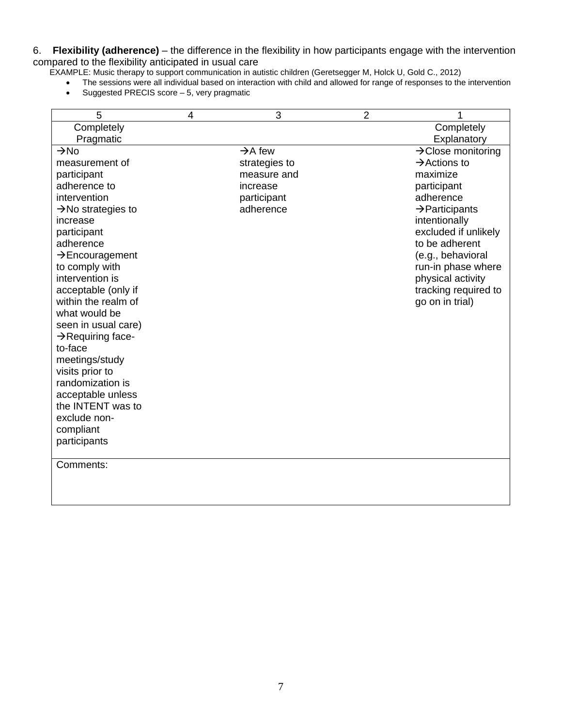6. **Flexibility (adherence)** – the difference in the flexibility in how participants engage with the intervention compared to the flexibility anticipated in usual care

- EXAMPLE: Music therapy to support communication in autistic children (Geretsegger M, Holck U, Gold C., 2012)
	- The sessions were all individual based on interaction with child and allowed for range of responses to the intervention
	- Suggested PRECIS score 5, very pragmatic

| 5                              | 4 | 3                   | $\overline{2}$ | 1                              |
|--------------------------------|---|---------------------|----------------|--------------------------------|
| Completely                     |   |                     |                | Completely                     |
| Pragmatic                      |   |                     |                | Explanatory                    |
| $\rightarrow$ No               |   | $\rightarrow$ A few |                | $\rightarrow$ Close monitoring |
| measurement of                 |   | strategies to       |                | $\rightarrow$ Actions to       |
| participant                    |   | measure and         |                | maximize                       |
| adherence to                   |   | increase            |                | participant                    |
| intervention                   |   | participant         |                | adherence                      |
| $\rightarrow$ No strategies to |   | adherence           |                | $\rightarrow$ Participants     |
| increase                       |   |                     |                | intentionally                  |
| participant                    |   |                     |                | excluded if unlikely           |
| adherence                      |   |                     |                | to be adherent                 |
| $\rightarrow$ Encouragement    |   |                     |                | (e.g., behavioral              |
| to comply with                 |   |                     |                | run-in phase where             |
| intervention is                |   |                     |                | physical activity              |
| acceptable (only if            |   |                     |                | tracking required to           |
| within the realm of            |   |                     |                | go on in trial)                |
| what would be                  |   |                     |                |                                |
| seen in usual care)            |   |                     |                |                                |
| $\rightarrow$ Requiring face-  |   |                     |                |                                |
| to-face                        |   |                     |                |                                |
| meetings/study                 |   |                     |                |                                |
| visits prior to                |   |                     |                |                                |
| randomization is               |   |                     |                |                                |
| acceptable unless              |   |                     |                |                                |
| the INTENT was to              |   |                     |                |                                |
| exclude non-                   |   |                     |                |                                |
| compliant                      |   |                     |                |                                |
| participants                   |   |                     |                |                                |
|                                |   |                     |                |                                |
| Comments:                      |   |                     |                |                                |
|                                |   |                     |                |                                |
|                                |   |                     |                |                                |
|                                |   |                     |                |                                |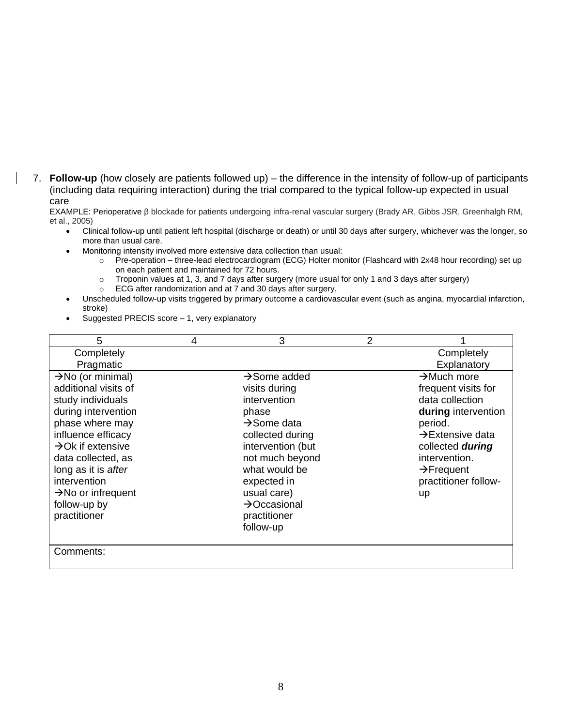7. **Follow-up** (how closely are patients followed up) – the difference in the intensity of follow-up of participants (including data requiring interaction) during the trial compared to the typical follow-up expected in usual care

EXAMPLE: Perioperative β blockade for patients undergoing infra-renal vascular surgery (Brady AR, Gibbs JSR, Greenhalgh RM, et al., 2005)

- Clinical follow-up until patient left hospital (discharge or death) or until 30 days after surgery, whichever was the longer, so more than usual care.
- Monitoring intensity involved more extensive data collection than usual:
	- o Pre-operation three-lead electrocardiogram (ECG) Holter monitor (Flashcard with 2x48 hour recording) set up on each patient and maintained for 72 hours.
	- o Troponin values at 1, 3, and 7 days after surgery (more usual for only 1 and 3 days after surgery)
	- $\circ$  ECG after randomization and at  $\overline{7}$  and 30 days after surgery.
- Unscheduled follow-up visits triggered by primary outcome a cardiovascular event (such as angina, myocardial infarction, stroke)
- Suggested PRECIS score 1, very explanatory

| 5                              | 4 | 3                        | $\overline{2}$ |                              |
|--------------------------------|---|--------------------------|----------------|------------------------------|
| Completely                     |   |                          |                | Completely                   |
| Pragmatic                      |   |                          |                | Explanatory                  |
| $\rightarrow$ No (or minimal)  |   | $\rightarrow$ Some added |                | $\rightarrow$ Much more      |
| additional visits of           |   | visits during            |                | frequent visits for          |
| study individuals              |   | intervention             |                | data collection              |
| during intervention            |   | phase                    |                | during intervention          |
| phase where may                |   | $\rightarrow$ Some data  |                | period.                      |
| influence efficacy             |   | collected during         |                | $\rightarrow$ Extensive data |
| $\rightarrow$ Ok if extensive  |   | intervention (but        |                | collected during             |
| data collected, as             |   | not much beyond          |                | intervention.                |
| long as it is after            |   | what would be            |                | $\rightarrow$ Frequent       |
| intervention                   |   | expected in              |                | practitioner follow-         |
| $\rightarrow$ No or infrequent |   | usual care)              |                | up                           |
| follow-up by                   |   | $\rightarrow$ Occasional |                |                              |
| practitioner                   |   | practitioner             |                |                              |
|                                |   | follow-up                |                |                              |
|                                |   |                          |                |                              |
| Comments:                      |   |                          |                |                              |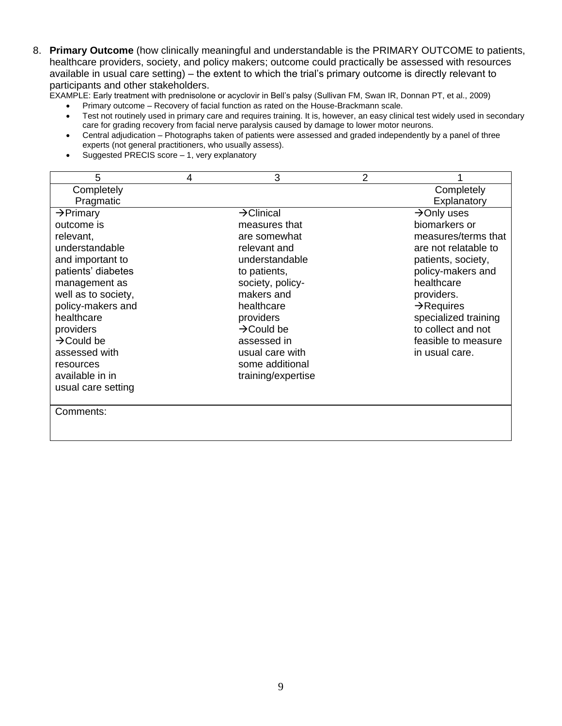8. **Primary Outcome** (how clinically meaningful and understandable is the PRIMARY OUTCOME to patients, healthcare providers, society, and policy makers; outcome could practically be assessed with resources available in usual care setting) – the extent to which the trial's primary outcome is directly relevant to participants and other stakeholders.

EXAMPLE: Early treatment with prednisolone or acyclovir in Bell's palsy (Sullivan FM, Swan IR, Donnan PT, et al., 2009)

- Primary outcome Recovery of facial function as rated on the House-Brackmann scale.
- Test not routinely used in primary care and requires training. It is, however, an easy clinical test widely used in secondary care for grading recovery from facial nerve paralysis caused by damage to lower motor neurons.
- Central adjudication Photographs taken of patients were assessed and graded independently by a panel of three experts (not general practitioners, who usually assess).
- Suggested PRECIS score 1, very explanatory

| 5                      | 4 | 3                      | 2 |                         |
|------------------------|---|------------------------|---|-------------------------|
| Completely             |   |                        |   | Completely              |
| Pragmatic              |   |                        |   | Explanatory             |
| $\rightarrow$ Primary  |   | $\rightarrow$ Clinical |   | $\rightarrow$ Only uses |
| outcome is             |   | measures that          |   | biomarkers or           |
| relevant,              |   | are somewhat           |   | measures/terms that     |
| understandable         |   | relevant and           |   | are not relatable to    |
| and important to       |   | understandable         |   | patients, society,      |
| patients' diabetes     |   | to patients,           |   | policy-makers and       |
| management as          |   | society, policy-       |   | healthcare              |
| well as to society,    |   | makers and             |   | providers.              |
| policy-makers and      |   | healthcare             |   | $\rightarrow$ Requires  |
| healthcare             |   | providers              |   | specialized training    |
| providers              |   | $\rightarrow$ Could be |   | to collect and not      |
| $\rightarrow$ Could be |   | assessed in            |   | feasible to measure     |
| assessed with          |   | usual care with        |   | in usual care.          |
| resources              |   | some additional        |   |                         |
| available in in        |   | training/expertise     |   |                         |
| usual care setting     |   |                        |   |                         |
|                        |   |                        |   |                         |
| Comments:              |   |                        |   |                         |
|                        |   |                        |   |                         |
|                        |   |                        |   |                         |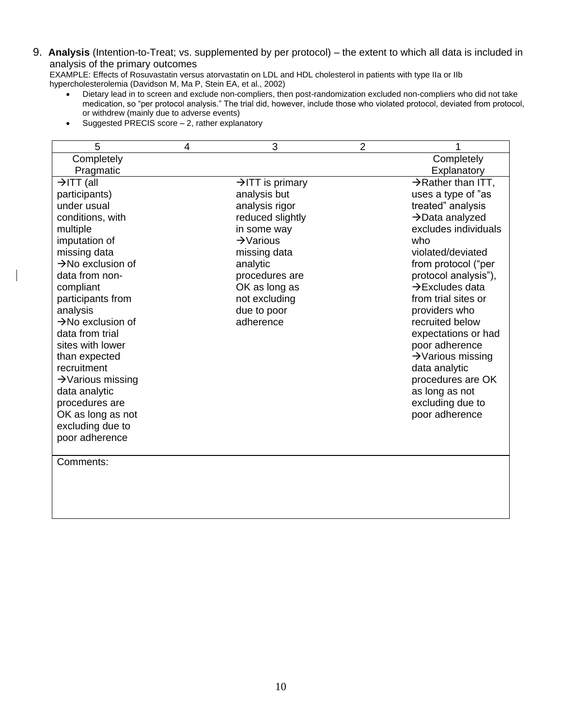### 9. **Analysis** (Intention-to-Treat; vs. supplemented by per protocol) – the extent to which all data is included in analysis of the primary outcomes

EXAMPLE: Effects of Rosuvastatin versus atorvastatin on LDL and HDL cholesterol in patients with type IIa or IIb hypercholesterolemia (Davidson M, Ma P, Stein EA, et al., 2002)

- Dietary lead in to screen and exclude non-compliers, then post-randomization excluded non-compliers who did not take medication, so "per protocol analysis." The trial did, however, include those who violated protocol, deviated from protocol, or withdrew (mainly due to adverse events)
- $\bullet$  Suggested PRECIS score  $-$  2, rather explanatory

| 5                             | 4 | 3                            | 2 |                                |
|-------------------------------|---|------------------------------|---|--------------------------------|
| Completely                    |   |                              |   | Completely                     |
| Pragmatic                     |   |                              |   | Explanatory                    |
| $\rightarrow$ ITT (all        |   | $\rightarrow$ ITT is primary |   | $\rightarrow$ Rather than ITT, |
| participants)                 |   | analysis but                 |   | uses a type of "as             |
| under usual                   |   | analysis rigor               |   | treated" analysis              |
| conditions, with              |   | reduced slightly             |   | $\rightarrow$ Data analyzed    |
| multiple                      |   | in some way                  |   | excludes individuals           |
| imputation of                 |   | $\rightarrow$ Various        |   | who                            |
| missing data                  |   | missing data                 |   | violated/deviated              |
| $\rightarrow$ No exclusion of |   | analytic                     |   | from protocol ("per            |
| data from non-                |   | procedures are               |   | protocol analysis"),           |
| compliant                     |   | OK as long as                |   | $\rightarrow$ Excludes data    |
| participants from             |   | not excluding                |   | from trial sites or            |
| analysis                      |   | due to poor                  |   | providers who                  |
| $\rightarrow$ No exclusion of |   | adherence                    |   | recruited below                |
| data from trial               |   |                              |   | expectations or had            |
| sites with lower              |   |                              |   | poor adherence                 |
| than expected                 |   |                              |   | $\rightarrow$ Various missing  |
| recruitment                   |   |                              |   | data analytic                  |
| $\rightarrow$ Various missing |   |                              |   | procedures are OK              |
| data analytic                 |   |                              |   | as long as not                 |
| procedures are                |   |                              |   | excluding due to               |
| OK as long as not             |   |                              |   | poor adherence                 |
| excluding due to              |   |                              |   |                                |
| poor adherence                |   |                              |   |                                |
|                               |   |                              |   |                                |
| Comments:                     |   |                              |   |                                |
|                               |   |                              |   |                                |
|                               |   |                              |   |                                |
|                               |   |                              |   |                                |
|                               |   |                              |   |                                |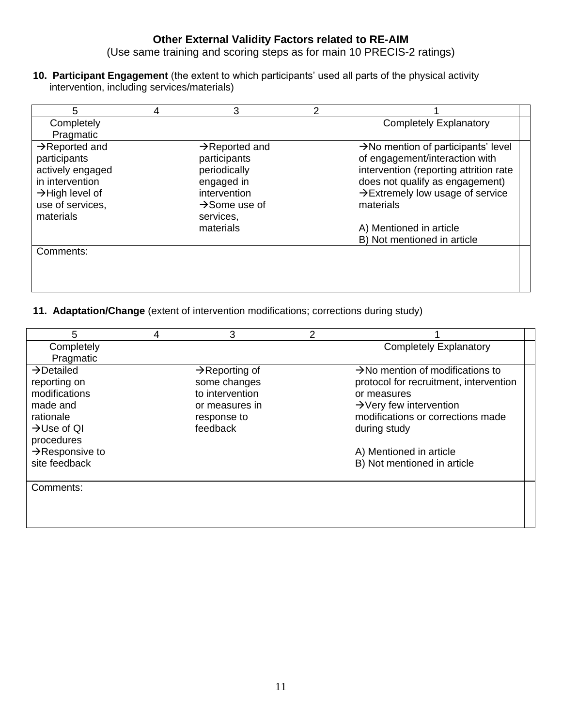### **Other External Validity Factors related to RE-AIM**

(Use same training and scoring steps as for main 10 PRECIS-2 ratings)

**10. Participant Engagement** (the extent to which participants' used all parts of the physical activity intervention, including services/materials)

| 5                           | 4 | 3                          | 2 |                                                 |
|-----------------------------|---|----------------------------|---|-------------------------------------------------|
| Completely                  |   |                            |   | <b>Completely Explanatory</b>                   |
| Pragmatic                   |   |                            |   |                                                 |
| $\rightarrow$ Reported and  |   | $\rightarrow$ Reported and |   | $\rightarrow$ No mention of participants' level |
| participants                |   | participants               |   | of engagement/interaction with                  |
| actively engaged            |   | periodically               |   | intervention (reporting attrition rate          |
| in intervention             |   | engaged in                 |   | does not qualify as engagement)                 |
| $\rightarrow$ High level of |   | intervention               |   | $\rightarrow$ Extremely low usage of service    |
| use of services.            |   | $\rightarrow$ Some use of  |   | materials                                       |
| materials                   |   | services,                  |   |                                                 |
|                             |   | materials                  |   | A) Mentioned in article                         |
|                             |   |                            |   | B) Not mentioned in article                     |
| Comments:                   |   |                            |   |                                                 |
|                             |   |                            |   |                                                 |
|                             |   |                            |   |                                                 |
|                             |   |                            |   |                                                 |

**11. Adaptation/Change** (extent of intervention modifications; corrections during study)

| 5                           | 4 | 3                          | 2 |                                              |
|-----------------------------|---|----------------------------|---|----------------------------------------------|
| Completely                  |   |                            |   | <b>Completely Explanatory</b>                |
| Pragmatic                   |   |                            |   |                                              |
| $\rightarrow$ Detailed      |   | $\rightarrow$ Reporting of |   | $\rightarrow$ No mention of modifications to |
| reporting on                |   | some changes               |   | protocol for recruitment, intervention       |
| modifications               |   | to intervention            |   | or measures                                  |
| made and                    |   | or measures in             |   | $\rightarrow$ Very few intervention          |
| rationale                   |   | response to                |   | modifications or corrections made            |
| $\rightarrow$ Use of QI     |   | feedback                   |   | during study                                 |
| procedures                  |   |                            |   |                                              |
| $\rightarrow$ Responsive to |   |                            |   | A) Mentioned in article                      |
| site feedback               |   |                            |   | B) Not mentioned in article                  |
| Comments:                   |   |                            |   |                                              |
|                             |   |                            |   |                                              |
|                             |   |                            |   |                                              |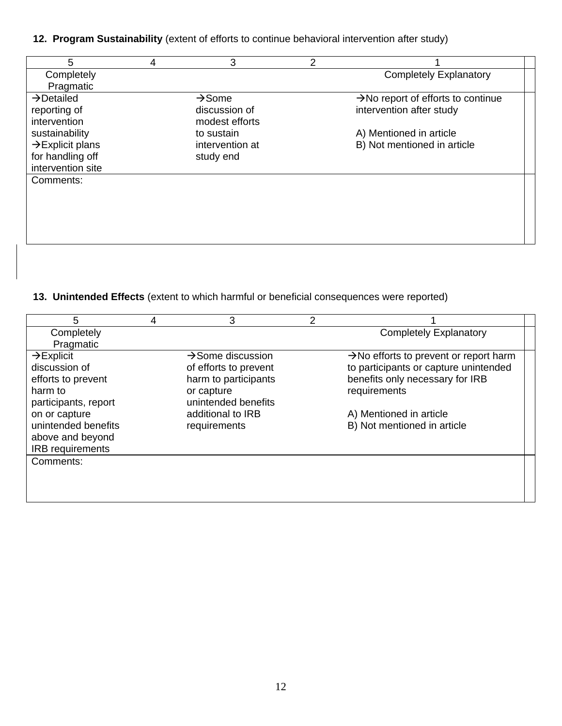# **12. Program Sustainability** (extent of efforts to continue behavioral intervention after study)

| 5                            | 4 | 3                  | 2 |                                                |
|------------------------------|---|--------------------|---|------------------------------------------------|
| Completely                   |   |                    |   | <b>Completely Explanatory</b>                  |
| Pragmatic                    |   |                    |   |                                                |
| $\rightarrow$ Detailed       |   | $\rightarrow$ Some |   | $\rightarrow$ No report of efforts to continue |
| reporting of                 |   | discussion of      |   | intervention after study                       |
| intervention                 |   | modest efforts     |   |                                                |
| sustainability               |   | to sustain         |   | A) Mentioned in article                        |
| $\rightarrow$ Explicit plans |   | intervention at    |   | B) Not mentioned in article                    |
| for handling off             |   | study end          |   |                                                |
| intervention site            |   |                    |   |                                                |
| Comments:                    |   |                    |   |                                                |
|                              |   |                    |   |                                                |
|                              |   |                    |   |                                                |
|                              |   |                    |   |                                                |
|                              |   |                    |   |                                                |
|                              |   |                    |   |                                                |

## **13. Unintended Effects** (extent to which harmful or beneficial consequences were reported)

| 5                      | 4 | 3                             | 2 |                                                    |
|------------------------|---|-------------------------------|---|----------------------------------------------------|
| Completely             |   |                               |   | <b>Completely Explanatory</b>                      |
| Pragmatic              |   |                               |   |                                                    |
| $\rightarrow$ Explicit |   | $\rightarrow$ Some discussion |   | $\rightarrow$ No efforts to prevent or report harm |
| discussion of          |   | of efforts to prevent         |   | to participants or capture unintended              |
| efforts to prevent     |   | harm to participants          |   | benefits only necessary for IRB                    |
| harm to                |   | or capture                    |   | requirements                                       |
| participants, report   |   | unintended benefits           |   |                                                    |
| on or capture          |   | additional to IRB             |   | A) Mentioned in article                            |
| unintended benefits    |   | requirements                  |   | B) Not mentioned in article                        |
| above and beyond       |   |                               |   |                                                    |
| IRB requirements       |   |                               |   |                                                    |
| Comments:              |   |                               |   |                                                    |
|                        |   |                               |   |                                                    |
|                        |   |                               |   |                                                    |
|                        |   |                               |   |                                                    |